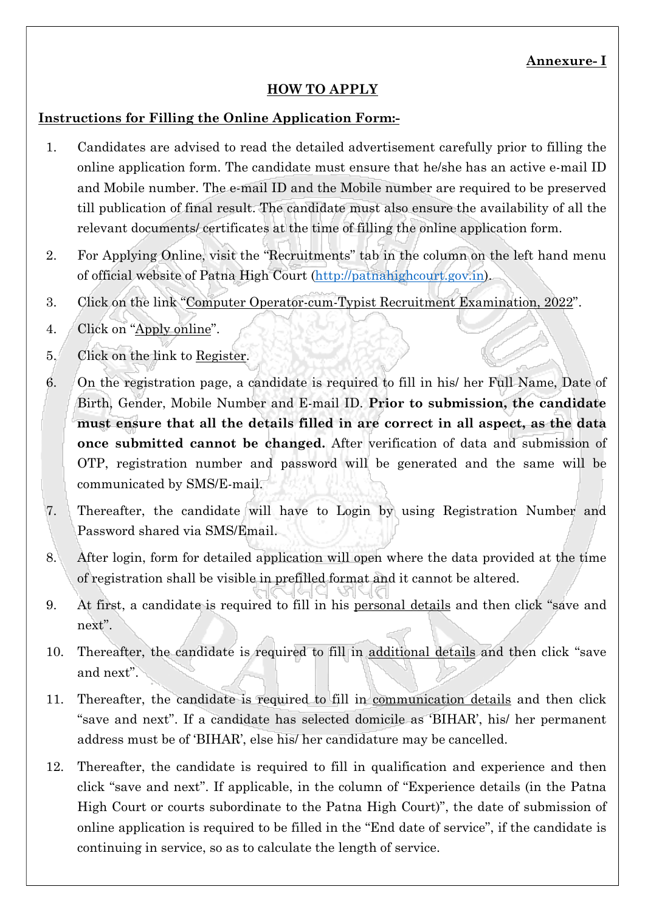## HOW TO APPLY

## Instructions for Filling the Online Application Form:-

- 1. Candidates are advised to read the detailed advertisement carefully prior to filling the online application form. The candidate must ensure that he/she has an active e-mail ID and Mobile number. The e-mail ID and the Mobile number are required to be preserved till publication of final result. The candidate must also ensure the availability of all the relevant documents/ certificates at the time of filling the online application form.
- 2. For Applying Online, visit the "Recruitments" tab in the column on the left hand menu of official website of Patna High Court (http://patnahighcourt.gov.in).
- 3. Click on the link "Computer Operator-cum-Typist Recruitment Examination, 2022".
- 4. Click on "Apply online".
- 5. Click on the link to Register.
- 6. On the registration page, a candidate is required to fill in his/ her Full Name, Date of Birth, Gender, Mobile Number and E-mail ID. Prior to submission, the candidate must ensure that all the details filled in are correct in all aspect, as the data once submitted cannot be changed. After verification of data and submission of OTP, registration number and password will be generated and the same will be communicated by SMS/E-mail.
- 7. Thereafter, the candidate will have to Login by using Registration Number and Password shared via SMS/Email.
- 8. After login, form for detailed application will open where the data provided at the time of registration shall be visible in prefilled format and it cannot be altered.
- 9. At first, a candidate is required to fill in his personal details and then click "save and next".
- 10. Thereafter, the candidate is required to fill in additional details and then click "save and next".
- 11. Thereafter, the candidate is required to fill in communication details and then click "save and next". If a candidate has selected domicile as 'BIHAR', his/ her permanent address must be of 'BIHAR', else his/ her candidature may be cancelled.
- 12. Thereafter, the candidate is required to fill in qualification and experience and then click "save and next". If applicable, in the column of "Experience details (in the Patna High Court or courts subordinate to the Patna High Court)", the date of submission of online application is required to be filled in the "End date of service", if the candidate is continuing in service, so as to calculate the length of service.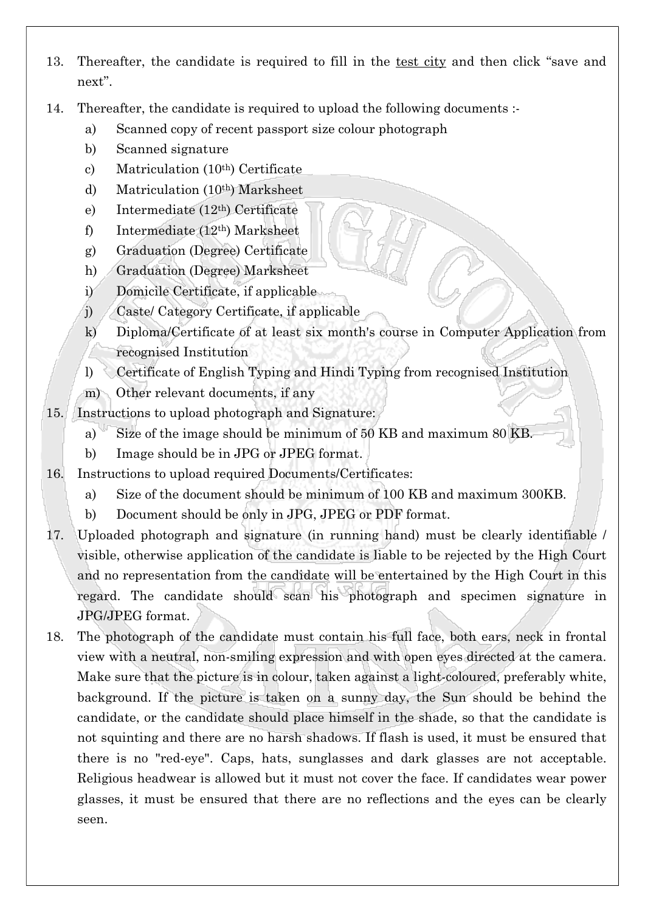- 13. Thereafter, the candidate is required to fill in the test city and then click "save and next".
- 14. Thereafter, the candidate is required to upload the following documents :
	- a) Scanned copy of recent passport size colour photograph
	- b) Scanned signature
	- c) Matriculation (10th) Certificate
	- d) Matriculation (10th) Marksheet
	- e) Intermediate (12th) Certificate
	- f) Intermediate (12th) Marksheet
	- g) Graduation (Degree) Certificate
	- h) Graduation (Degree) Marksheet
	- i) Domicile Certificate, if applicable
	- j) Caste/ Category Certificate, if applicable
	- k) Diploma/Certificate of at least six month's course in Computer Application from recognised Institution
	- l) Certificate of English Typing and Hindi Typing from recognised Institution
	- m) Other relevant documents, if any
- 15. Instructions to upload photograph and Signature:
	- a) Size of the image should be minimum of 50 KB and maximum 80 KB.
	- b) Image should be in JPG or JPEG format.
- 16. Instructions to upload required Documents/Certificates:
	- a) Size of the document should be minimum of 100 KB and maximum 300KB.
	- b) Document should be only in JPG, JPEG or PDF format.
- 17. Uploaded photograph and signature (in running hand) must be clearly identifiable / visible, otherwise application of the candidate is liable to be rejected by the High Court and no representation from the candidate will be entertained by the High Court in this regard. The candidate should scan his photograph and specimen signature in JPG/JPEG format.
- 18. The photograph of the candidate must contain his full face, both ears, neck in frontal view with a neutral, non-smiling expression and with open eyes directed at the camera. Make sure that the picture is in colour, taken against a light-coloured, preferably white, background. If the picture is taken on a sunny day, the Sun should be behind the candidate, or the candidate should place himself in the shade, so that the candidate is not squinting and there are no harsh shadows. If flash is used, it must be ensured that there is no "red-eye". Caps, hats, sunglasses and dark glasses are not acceptable. Religious headwear is allowed but it must not cover the face. If candidates wear power glasses, it must be ensured that there are no reflections and the eyes can be clearly seen.